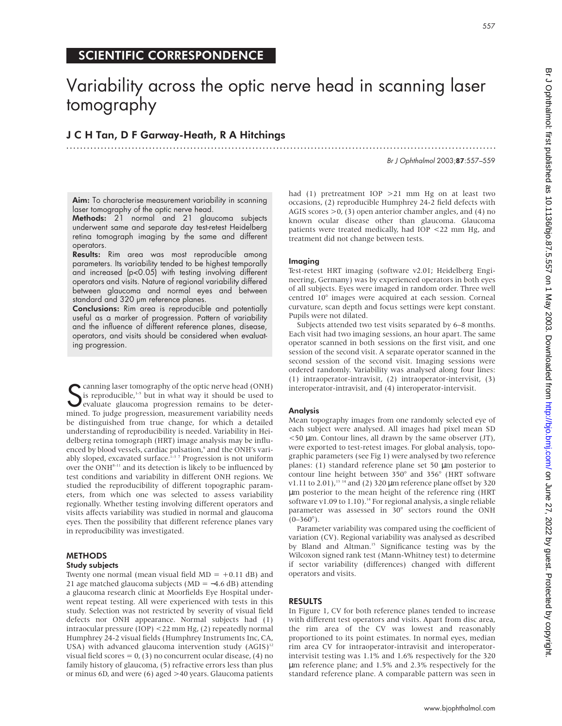## SCIENTIFIC CORRESPONDENCE

# Variability across the optic nerve head in scanning laser tomography

### J C H Tan, D F Garway-Heath, R A Hitchings .............................................................................................................................

Br J Ophthalmol 2003;87:557–559

Aim: To characterise measurement variability in scanning laser tomography of the optic nerve head.

Methods: 21 normal and 21 glaucoma subjects underwent same and separate day test-retest Heidelberg retina tomograph imaging by the same and different operators.

Results: Rim area was most reproducible among parameters. Its variability tended to be highest temporally and increased (p<0.05) with testing involving different operators and visits. Nature of regional variability differed between glaucoma and normal eyes and between standard and 320 µm reference planes.

Conclusions: Rim area is reproducible and potentially useful as a marker of progression. Pattern of variability and the influence of different reference planes, disease, operators, and visits should be considered when evaluating progression.

Canning laser tomography of the optic nerve head (ONH)<br>
is reproducible,<sup>1-5</sup> but in what way it should be used to<br>
evaluate glaucoma progression remains to be deter-<br>
evaluate progression measurement variability needs is reproducible,<sup>1-5</sup> but in what way it should be used to evaluate glaucoma progression remains to be determined. To judge progression, measurement variability needs be distinguished from true change, for which a detailed understanding of reproducibility is needed. Variability in Heidelberg retina tomograph (HRT) image analysis may be influenced by blood vessels, cardiac pulsation,<sup>6</sup> and the ONH's variably sloped, excavated surface.<sup>1-3 7</sup> Progression is not uniform over the ONH<sup>8-11</sup> and its detection is likely to be influenced by test conditions and variability in different ONH regions. We studied the reproducibility of different topographic parameters, from which one was selected to assess variability regionally. Whether testing involving different operators and visits affects variability was studied in normal and glaucoma eyes. Then the possibility that different reference planes vary in reproducibility was investigated.

#### **METHODS** Study subjects

Twenty one normal (mean visual field  $MD = +0.11$  dB) and 21 age matched glaucoma subjects (MD = −4.6 dB) attending a glaucoma research clinic at Moorfields Eye Hospital underwent repeat testing. All were experienced with tests in this study. Selection was not restricted by severity of visual field defects nor ONH appearance. Normal subjects had (1) intraocular pressure (IOP) <22 mm Hg, (2) repeatedly normal Humphrey 24-2 visual fields (Humphrey Instruments Inc, CA, USA) with advanced glaucoma intervention study  $(AGIS)^{12}$ visual field scores =  $0$ , (3) no concurrent ocular disease, (4) no family history of glaucoma, (5) refractive errors less than plus or minus 6D, and were (6) aged >40 years. Glaucoma patients

had (1) pretreatment  $IOP > 21$  mm Hg on at least two occasions, (2) reproducible Humphrey 24-2 field defects with AGIS scores >0, (3) open anterior chamber angles, and (4) no known ocular disease other than glaucoma. Glaucoma patients were treated medically, had IOP <22 mm Hg, and treatment did not change between tests.

#### Imaging

Test-retest HRT imaging (software v2.01; Heidelberg Engineering, Germany) was by experienced operators in both eyes of all subjects. Eyes were imaged in random order. Three well centred 10° images were acquired at each session. Corneal curvature, scan depth and focus settings were kept constant. Pupils were not dilated.

Subjects attended two test visits separated by 6–8 months. Each visit had two imaging sessions, an hour apart. The same operator scanned in both sessions on the first visit, and one session of the second visit. A separate operator scanned in the second session of the second visit. Imaging sessions were ordered randomly. Variability was analysed along four lines: (1) intraoperator-intravisit, (2) intraoperator-intervisit, (3) interoperator-intravisit, and (4) interoperator-intervisit.

#### Analysis

Mean topography images from one randomly selected eye of each subject were analysed. All images had pixel mean SD  $<$  50  $\mu$ m. Contour lines, all drawn by the same observer (JT), were exported to test-retest images. For global analysis, topographic parameters (see Fig 1) were analysed by two reference planes: (1) standard reference plane set 50 µm posterior to contour line height between 350° and 356° (HRT software v1.11 to 2.01),<sup>13-14</sup> and (2) 320  $\mu$ m reference plane offset by 320 µm posterior to the mean height of the reference ring (HRT software v1.09 to 1.10).<sup>14</sup> For regional analysis, a single reliable parameter was assessed in 30° sectors round the ONH  $(0-360^{\circ})$ .

Parameter variability was compared using the coefficient of variation (CV). Regional variability was analysed as described by Bland and Altman.<sup>15</sup> Significance testing was by the Wilcoxon signed rank test (Mann-Whitney test) to determine if sector variability (differences) changed with different operators and visits.

#### RESULTS

In Figure 1, CV for both reference planes tended to increase with different test operators and visits. Apart from disc area, the rim area of the CV was lowest and reasonably proportioned to its point estimates. In normal eyes, median rim area CV for intraoperator-intravisit and interoperatorintervisit testing was 1.1% and 1.6% respectively for the 320 µm reference plane; and 1.5% and 2.3% respectively for the standard reference plane. A comparable pattern was seen in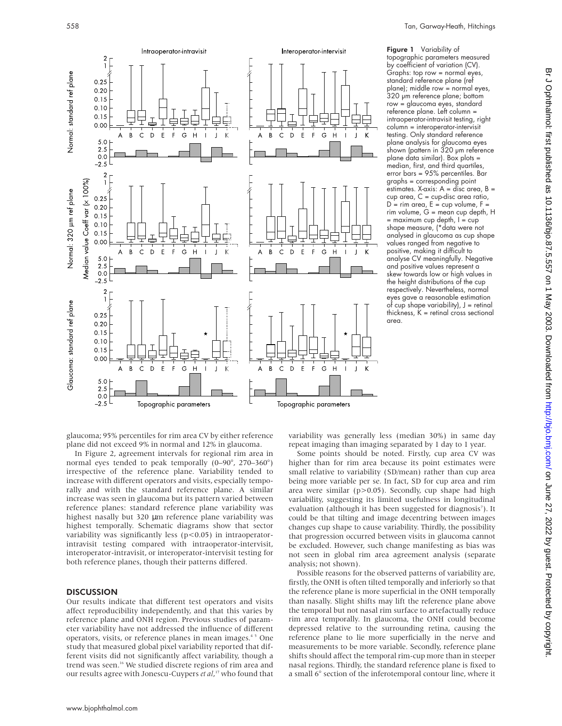

Figure 1 Variability of topographic parameters measured by coefficient of variation (CV). Graphs: top row = normal eyes, standard reference plane (ref plane); middle row = normal eyes, 320 um reference plane; bottom row = glaucoma eyes, standard reference plane. Left column = intraoperator-intravisit testing, right column = interoperator-intervisit testing. Only standard reference plane analysis for glaucoma eyes shown (pattern in 320 µm reference plane data similar). Box plots = median, first, and third quartiles, error bars = 95% percentiles. Bar graphs = corresponding point estimates. X-axis: A = disc area, B = cup area, C = cup-disc area ratio,  $D =$  rim area,  $E =$  cup volume,  $F =$ rim volume, G = mean cup depth, H  $=$  maximum cup depth,  $I = cup$ shape measure, (\*data were not analysed in glaucoma as cup shape values ranged from negative to positive, making it difficult to analyse CV meaningfully. Negative and positive values represent a skew towards low or high values in the height distributions of the cup respectively. Nevertheless, normal eyes gave a reasonable estimation of cup shape variability),  $J =$  retinal thickness,  $K =$  retinal cross sectional area.

glaucoma; 95% percentiles for rim area CV by either reference plane did not exceed 9% in normal and 12% in glaucoma.

In Figure 2, agreement intervals for regional rim area in normal eyes tended to peak temporally (0–90°, 270–360°) irrespective of the reference plane. Variability tended to increase with different operators and visits, especially temporally and with the standard reference plane. A similar increase was seen in glaucoma but its pattern varied between reference planes: standard reference plane variability was highest nasally but 320 µm reference plane variability was highest temporally. Schematic diagrams show that sector variability was significantly less ( $p$ <0.05) in intraoperatorintravisit testing compared with intraoperator-intervisit, interoperator-intravisit, or interoperator-intervisit testing for both reference planes, though their patterns differed.

#### **DISCUSSION**

Our results indicate that different test operators and visits affect reproducibility independently, and that this varies by reference plane and ONH region. Previous studies of parameter variability have not addressed the influence of different operators, visits, or reference planes in mean images.<sup>45</sup> One study that measured global pixel variability reported that different visits did not significantly affect variability, though a trend was seen.<sup>16</sup> We studied discrete regions of rim area and our results agree with Jonescu-Cuypers *et al*, <sup>17</sup> who found that

variability was generally less (median 30%) in same day repeat imaging than imaging separated by 1 day to 1 year.

Some points should be noted. Firstly, cup area CV was higher than for rim area because its point estimates were small relative to variability (SD/mean) rather than cup area being more variable per se. In fact, SD for cup area and rim area were similar (p>0.05). Secondly, cup shape had high variability, suggesting its limited usefulness in longitudinal evaluation (although it has been suggested for diagnosis<sup>7</sup>). It could be that tilting and image decentring between images changes cup shape to cause variability. Thirdly, the possibility that progression occurred between visits in glaucoma cannot be excluded. However, such change manifesting as bias was not seen in global rim area agreement analysis (separate analysis; not shown).

Possible reasons for the observed patterns of variability are, firstly, the ONH is often tilted temporally and inferiorly so that the reference plane is more superficial in the ONH temporally than nasally. Slight shifts may lift the reference plane above the temporal but not nasal rim surface to artefactually reduce rim area temporally. In glaucoma, the ONH could become depressed relative to the surrounding retina, causing the reference plane to lie more superficially in the nerve and measurements to be more variable. Secondly, reference plane shifts should affect the temporal rim-cup more than in steeper nasal regions. Thirdly, the standard reference plane is fixed to a small 6° section of the inferotemporal contour line, where it